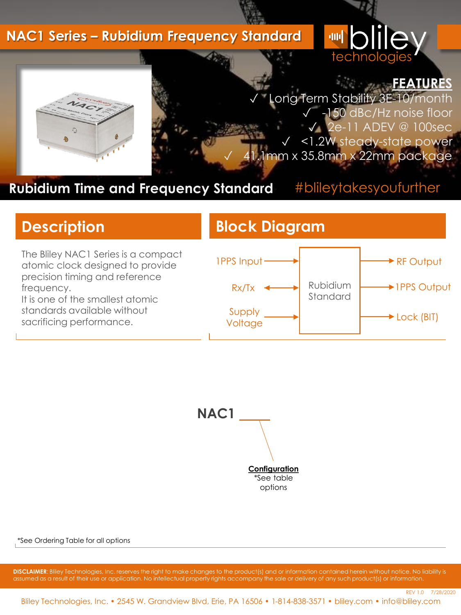#### **NAC1 Series – Rubidium Frequency Standard**





REV 1.0 7/28/2020

ong Term Stability 3E-10/month ✓ -150 dBc/Hz noise floor ✓ 2e-11 ADEV @ 100sec <1.2W steady-state power 1mm x 35.8mm x 22mm package

## **Rubidium Time and Frequency Standard**

## #blileytakesyoufurther

The Bliley NAC1 Series is a compact atomic clock designed to provide precision timing and reference frequency. It is one of the smallest atomic

standards available without sacrificing performance.

## **Description Block Diagram**





\*See Ordering Table for all options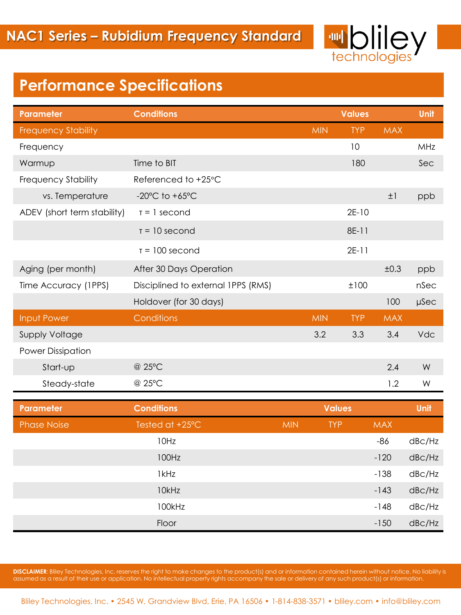

# **Performance Specifications**

| <b>Parameter</b>            | <b>Conditions</b>                    |            |               | <b>Values</b> |            | Unit                |
|-----------------------------|--------------------------------------|------------|---------------|---------------|------------|---------------------|
| <b>Frequency Stability</b>  |                                      |            | <b>MIN</b>    | <b>TYP</b>    | <b>MAX</b> |                     |
| Frequency                   |                                      |            |               | 10            |            | MHz                 |
| Warmup                      | Time to BIT                          |            |               | 180           |            | Sec                 |
| Frequency Stability         | Referenced to +25°C                  |            |               |               |            |                     |
| vs. Temperature             | -20 $^{\circ}$ C to +65 $^{\circ}$ C |            |               |               | $\pm 1$    | ppb                 |
| ADEV (short term stability) | $T = 1$ second                       |            |               | $2E-10$       |            |                     |
|                             | $T = 10$ second                      |            |               | 8E-11         |            |                     |
|                             | $T = 100$ second                     |            |               | $2E-11$       |            |                     |
| Aging (per month)           | After 30 Days Operation              |            |               |               | ±0.3       | ppb                 |
| Time Accuracy (1PPS)        | Disciplined to external IPPS (RMS)   |            |               | ±100          |            | nSec                |
|                             | Holdover (for 30 days)               |            |               |               | 100        | µSec                |
| Input Power                 | Conditions                           |            | <b>MIN</b>    | <b>TYP</b>    | <b>MAX</b> |                     |
| <b>Supply Voltage</b>       |                                      |            | 3.2           | 3.3           | 3.4        | <b>Vdc</b>          |
| <b>Power Dissipation</b>    |                                      |            |               |               |            |                     |
| Start-up                    | @ 25°C                               |            |               |               | 2.4        | W                   |
| Steady-state                | @ 25°C                               |            |               |               | 1.2        | W                   |
| <b>Parameter</b>            | <b>Conditions</b>                    |            | <b>Values</b> |               | Unit       |                     |
| <b>Phase Noise</b>          | Tested at +25°C                      | <b>MIN</b> | <b>TYP</b>    |               | <b>MAX</b> |                     |
|                             | 10Hz                                 |            |               |               | $-86$      | dB <sub>C</sub> /Hz |
|                             | 100Hz                                |            |               |               | $-120$     | dB <sub>C</sub> /Hz |
|                             | 1kHz                                 |            |               |               | $-138$     | dB <sub>C</sub> /Hz |
|                             | 10kHz                                |            |               |               | $-143$     | dBc/Hz              |
|                             | 100kHz                               |            |               |               | $-148$     | dB <sub>C</sub> /Hz |
|                             | Floor                                |            |               |               | $-150$     | dBc/Hz              |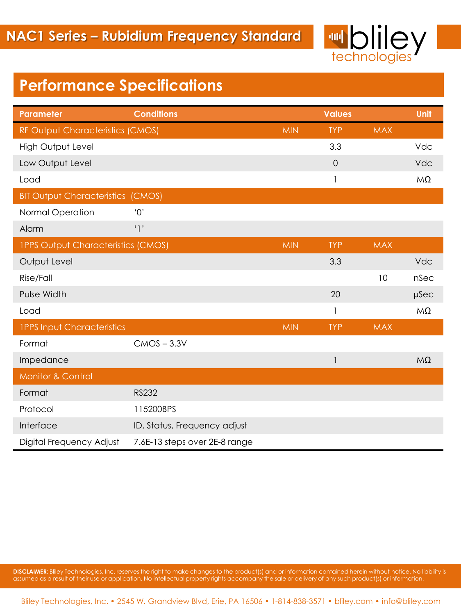

# **Performance Specifications**

| <b>Parameter</b>                          | <b>Conditions</b>             |            | <b>Values</b>  |            | Unit      |
|-------------------------------------------|-------------------------------|------------|----------------|------------|-----------|
| RF Output Characteristics (CMOS)          |                               | <b>MIN</b> | <b>TYP</b>     | <b>MAX</b> |           |
| <b>High Output Level</b>                  |                               |            | 3.3            |            | Vdc       |
| Low Output Level                          |                               |            | $\overline{0}$ |            | Vdc       |
| Load                                      |                               |            | 1              |            | $M\Omega$ |
| <b>BIT Output Characteristics (CMOS)</b>  |                               |            |                |            |           |
| Normal Operation                          | $^{\prime}O^{\prime}$         |            |                |            |           |
| Alarm                                     | '1'                           |            |                |            |           |
| <b>IPPS Output Characteristics (CMOS)</b> |                               | <b>MIN</b> | <b>TYP</b>     | <b>MAX</b> |           |
| Output Level                              |                               |            | 3.3            |            | Vdc       |
| Rise/Fall                                 |                               |            |                | 10         | nSec      |
| Pulse Width                               |                               |            | 20             |            | µSec      |
| Load                                      |                               |            | 1              |            | $M\Omega$ |
| <b>IPPS Input Characteristics</b>         |                               | <b>MIN</b> | <b>TYP</b>     | <b>MAX</b> |           |
| Format                                    | $CMOS - 3.3V$                 |            |                |            |           |
| Impedance                                 |                               |            | $\mathbf{I}$   |            | $M\Omega$ |
| <b>Monitor &amp; Control</b>              |                               |            |                |            |           |
| Format                                    | <b>RS232</b>                  |            |                |            |           |
| Protocol                                  | 115200BPS                     |            |                |            |           |
| Interface                                 | ID, Status, Frequency adjust  |            |                |            |           |
| Digital Frequency Adjust                  | 7.6E-13 steps over 2E-8 range |            |                |            |           |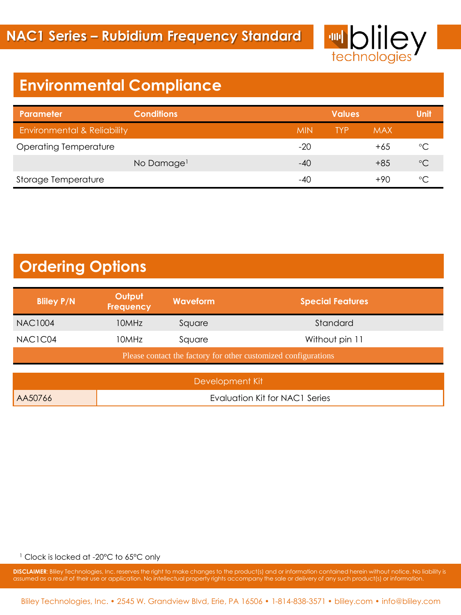

# **Environmental Compliance**

| Parameter                              | <b>Conditions</b>      |            | <b>Values</b> |            |              |
|----------------------------------------|------------------------|------------|---------------|------------|--------------|
| <b>Environmental &amp; Reliability</b> |                        | <b>MIN</b> | <b>TYP</b>    | <b>MAX</b> |              |
| <b>Operating Temperature</b>           |                        | -20        |               | $+65$      | °C           |
|                                        | No Damage <sup>1</sup> | $-40$      |               | $+8.5$     | $^{\circ}C$  |
| Storage Temperature                    |                        | -40        |               | $+90$      | $\circ \cap$ |

# **Ordering Options**

| Frequency | Waveform<br><b>Special Features</b>                            |
|-----------|----------------------------------------------------------------|
|           | Standard                                                       |
|           | Without pin 11                                                 |
|           | Please contact the factory for other customized configurations |
|           | 10MHz<br>Square<br>10MHz.<br>Sauare                            |

|         | Development Kit                |
|---------|--------------------------------|
| AA50766 | Evaluation Kit for NAC1 Series |

<sup>1</sup> Clock is locked at -20°C to 65°C only